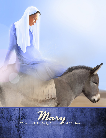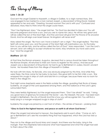The Story of Mary

### *Luke 1: 26-38*

God sent the angel Gabriel to Nazareth, a village in Galilee, to a virgin named Mary. She was engaged to be married to a man named Joseph, a descendant of King David. Gabriel appeared to her and said, "Greeting, favored woman! The Lord is with you!" Confused and disturbed, Mary tried to think what the angel could mean.

"Don't be frightened, Mary," the angel told her, "for God has decided to bless you! You will become pregnant and have a son, and you are to name him Jesus. He will be very great and will be called the Son of the Most High. And the Lord God will give him the throne of his ancestor David. And he will reign over Israel forever; his kingdom will never end!"

Mary asked the angel, "But how can I have a baby? I am a virgin." The angel replied, "The Holy Spirit will come upon you, and the power of the Most High will overshadow you. So the baby born to you will be holy, and he will be called the Son of God." Mary responded, "I am the Lord's servant, and I am willing to accept whatever he wants. May whatever you have said come true." And the angel left.

### *Matthew 2:1-12*

At that time the Roman emperor, Augustus, decreed that a census should be taken throughout the Roman Empire. All returned to their own towns to register for this census. And because Joseph was a descendant of King David, he had to go to Bethlehem in Judea, David's ancient home. He traveled there from the village of Nazareth in Galilee.

He took with him Mary, his fiancée, who was obviously pregnant by this time. And while they were there, the time came for her baby to be born. She gave birth to her first child, a son. She wrapped him snugly in strips of cloth and laid him in a manger, because there was no room for them in the village inn.

That night some shepherds were in the fields outside the village, guarding their flocks of sheep. Suddenly, an angel of the Lord appeared among them, and the radiance of the Lord's glory surrounded them.

They were terribly frightened, but the angel reassured them. "Don't be afraid!" he said. "I bring you good news of great joy for everyone! The Savior – yes, the Messiah, the Lord – has been born tonight in Bethlehem, the city of David! And this is how you will recognize him: You will find a baby lying in a manger wrapped snugly in strips of cloth!"

Suddenly the angel was joined by a vast host of others – the armies of heaven – praising God:

#### **"Glory to God in the highest heaven, and peace on earth to all whom God favors."**

When the angels had returned to heaven, the shepherds said to each other, "Come on, let's go to Bethlehem! Let's see this wonderful thing that has happened, which the Lord has told us about."

They ran to the village and found Mary and Joseph. And there was the baby, lying in the manger. Then the shepherds told everyone what had happened and what the angel had said to them about the child.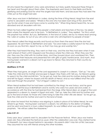All who heard the shepherd's story were astonished, but Mary quietly treasured these things in her heart and thought about them often. The shepherds went back to their fields and flocks, glorifying and praising God for what the angels had told them, and because they had seen the child, just as the angel had said.

After Jesus was born in Bethlehem in Judea, during the time of King Herod, Magi from the east came to Jerusalem and asked, "Where is the one who has been born king of the Jews? We saw his star when it rose and have come to worship him." When King Herod heard this, he was disturbed and all Jerusalem with him.

When he had called together all the people's chief priests and teachers of the law, he asked them where the Messiah was to be born. "In Bethlehem in Judea," they replied, "for this is what the prophet has written. But you, Bethlehem, in the land of Judea, are by no means least among the rulers of Judea, for out of you will come a ruler who will shepherd my people of Israel."

Then Herod called the Magi secretly and found out from them the exact time the star had appeared. He sent them to Bethlehem and said, "Go and make a careful search for the child. As soon as you find him, report to me, so that I too may go and worship him."

After they had heard the king, they went on their way, and the star they had seen when it rose went ahead of them until it stopped over the place where the child was. When they saw the star, they saw the child with his mother Mary, and they bowed down and worshiped him. Then they opened their treasures and presented him with gifts of gold, frankincense, and myrrh. And having been warned in a dream not to go back to Herod, they returned to their country by another route.

# *Matthew 2:19-23*

When they had gone, an angel of the Lord appeared to Joseph in a dream. "Get up," he said, "take the child and his mother and escape to Egypt. Stay there until I tell you, for Herod is going to search for the child and kill him." So he got up, took the child and his mother during the night and left for Egypt, where he stayed until the death of Herod. And so was fulfilled what the Lord had said through the prophet: "Out of Egypt I called my son."

When Herod realized that he had been outwitted by the Magi, he was furious, and he gave orders to kill all the boys in Bethlehem and its vicinity who were two years old and under, in accordance with the time he had learned from the Magi. After Herod died, an angel of the Lord appeared in a dream to Joseph in Egypt and said, "Get up, take the child and his mother and go to the land of Israel, for those who were trying to take the child's life are dead." So he got up, took the child and his mother and went to the land of Israel.

But when he heard that Archelaus was reigning in Judea in place of his father Herod, he was afraid to go there. Having been warned in a dream, he withdrew to the district of Galilee, and he went and lived in a town called Nazareth. So was fulfilled what was said through the prophets: "He will be called the Nazarene."

### *Luke 2:41-51*

Every year Jesus' parents went to Jerusalem for the Passover festival. When Jesus was twelve years old, they attended the festival as usual. After the celebration was over, they started home to Nazareth, but Jesus stayed behind in Jerusalem. His parents didn't miss him at first, because they assumed he was with friends among the other travelers.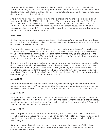But when he didn't show up that evening, they started to look for him among their relatives and friends. When they couldn't find him, they went back to Jerusalem to search for him there. Three days later they finally discovered him. He was in the temple sitting among the religious teachers, discussing deep questions with them.

And all who heard him were amazed at his understanding and his answers. His parents didn't know what to think. "Son!" his mother said to him. "Why have you done this to us? Your father and I have been frantic, searching for you everywhere." "But why did you need to search?" he asked. "You should have known that I would be in my Father's house." But they didn't understand what he meant. Then he returned to Nazareth with them and was obedient; and his mother stored all these things in her heart.

# *John 2:1-11*

On the third day a wedding took place at Cana in Galilee. Jesus' mother was there, and Jesus and his disciples had also been invited to the wedding. When the wine was gone, Jesus' mother said to him. "They have no more wine."

"Woman, why do you involve me?" Jesus replied. "My hour has not yet come." His mother said to the servants. "Do whatever he tells you." Nearby stood six stone water jars, the kind used by the Jews for ceremonial washing, each holding from twenty to thirty gallons. Jesus said to the servants, "Fill the jars with water." So they filled them to the brim. Then he told them, "Now draw some out and take it to the master of the banquet."

They did so, and the master of the banquet tasted the water that had been turned to wine. He did not realize where it had come from, though the servants who had drawn the water knew. Then he called the bridegroom aside and said, "Everyone brings out the choice wine first and then the cheaper wine after the guests have had too much to drink; but you have saved the best till now." What Jesus did here in Cana of Galilee was the first of the signs through which he revealed his glory; and his disciples put their faith in him.

### *Luke 8:19-21*

Once Jesus' mother and brothers came to see him, they couldn't get to him because of the crowd. Someone told him, "Your mother and brothers are standing outside, wanting to see you." He replied, "My mother and brothers are those who hear God's word and put it into practice."

### *John 19: 25-27*

Near the cross of Jesus stood his mother, his mother's sister, Mary the wife of Clopas, and Mary Magdalene. When Jesus saw his mother there, and the disciple whom he loved standing nearby, he said to her, "Woman, here is your son," and to the disciple, "Here is your mother." From that time on, this disciple took her into his home.

### *John 19: 38-40*

Later, Joseph of Arimathea asked Pilate for the body of Jesus. Now Joseph was a disciple of Jesus, but secretly, because he feared the Jewish leaders. With Pilate's permission he came and took the body away. He was accompanied by Nicodemus, the man who earlier had visited Jesus at night.

Nicodemus brought a mixture of myrrh and aloes, about seventy-five pounds. Taking Jesus' body, the two of them wrapped it with the spices, in strips of linen. This was in accordance with Jewish burial customs.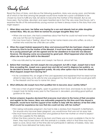# Study Guide

Read the Story of Mary, and discuss the following questions. Mary was young, poor, and female; all of which in her time among her people would have made her a poor candidate to be chosen by God to fulfill any task, let alone to become the mother of the Messiah. But as we have seen, the humble, devoted, and open-hearted are in fact the very ones God favors. Let's examine the life of this extraordinary young woman as there is always more to the story than one might expect.

- *1. When Mary was born, her father was hoping for a son and already had an older daughter named Mary. Why do you think he named his younger daughter Mary too?*
	- When she was born, she had a sweetness about her that he could not resist even though she was not the son he hoped for.
	- He may have had a 'feeling' about her as her name means one who suffers, as only a mother who watches her child die can suffer.
- *2. When the angel Gabriel appeared to Mary and announced that she had been chosen of all women by God to be the mother of the Messiah, it must have been a terrifying experience for a young peasant girl; yet she agreed and for her obedience to God she was blessed. However, this blessing came accompanied by great pain. What happened when she told others she was to give birth to the Messiah?*
	- She was ridiculed by her peers and Joseph, her fiancé, almost left her.
- *3. Before their marriage, she told Joseph she was pregnant, but still a virgin. Joseph had a hard time accepting this. Joseph was a good man and did not want to disgrace her publicly, so he decided to break the engagement quietly. His only other option was to have her stoned. What stopped Joseph from leaving her?*
	- As he considered this, an angel of the Lord appeared and explained that he need not be afraid to take Mary as his wife for she was pregnant by the Holy Spirit and would give birth to the Messiah and he was to name him Jesus.
- *4. What attributes did Joseph have that qualified him to become Jesus' earthly father?*
	- He was a man of great integrity, open to guidance from God, and ready to do God's will.
	- Joseph took his family every year to the Passover in Jerusalem, providing good spiritual guidance for Jesus.
- *5. Roman emperor Augustus declared that everyone must return to the home of their ancestors and register for the census. Mary was noticeably pregnant by this time and if she stayed in Nazareth, would have had the support of her mother to help with the delivery of her first child. What would her experience be now that she could not stay with her mother?*
	- First, being noticeably pregnant, she had to ride a donkey from Nazareth to Bethlehem. For anyone who has ever been pregnant, you would know that was not an easy task.
	- She must have had some instruction and guidance from her mother on what to expect and a few supplies for the delivery.
	- When the time came for Jesus to be born and there was no room available in the inn for them, they had to bed down with the animals in a stable, which in that time may have been a cave. Since men of the time did not participate in delivery of babies, Mary very well may have delivered her baby alone.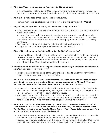### *6. What conditions would you expect the Son of God to be born in?*

• Most anticipated that the Son of God would be born in royal surroundings. Instead, he was born in a humble and unsanitary stable and laid into a manger used to feed animals.

## *7. What is the significance of the Star the wise men followed?*

• The wise men were astrologers and the star foretold of the coming of the Messiah.

# *8. Why did they bring Frankincense, Myrrh, and Gold as the gifts for Jesus?*

- Frankincense was used for spiritual worship and was one of the most precious possessions a person could own.
- Myrrh was the most costly incense resin in antiquity and was worth more than jewels and gold. Mary would have used Myrrh to disinfect the naval when the cord detached, and to keep herself and the infant Jesus from developing infection from the unsanitary conditions.
- Gold was the least valuable of all the gifts, but still had significant worth.
- All together, the three gifts represented a considerable wealth.

# *9. What did the wise men do that alerted Herod of the birth of the Messiah?*

• Upon arrival in Jerusalem they went to Herod and asked where they might find the baby who was the Messiah foretold in prophesy as they wanted to worship him and bestow upon him the gifts they had brought. Herod told them to return and tell him where they found the newborn Messiah so he could worship him too.

### *10. When Herod ordered all the boys two years old and under living in and around Bethlehem to be killed, how did Joseph save Jesus?*

• Joseph was visited by an angel of the Lord and told to flee to Egypt that very night as Jesus' life was in danger and he would be killed.

### 11. When Jesus was twelve, he went with his family to Jerusalem for the annual Passover festival *and when it was over and they started home, he was accidentally left behind. Where did they find him and what did he say to them and what did that mean to Mary?*

- He was not concerned about staying behind. After three days of searching, they finally found him at a temple, sitting among the religious teachers listening and asking questions. He told them not to worry; he was in his father's house.
- Mary must have known a day would come when he would be less her son and more the Son of God. Although she had other sons, Jesus would have been special to Mary and hard to let go of. It can be very difficult to let go of those we have nurtured.

### *12. Mary, Jesus and his disciples were attending a wedding in Cana when the host ran out of wine. Mary asked Jesus to help find some wine, but Jesus said, "It is not yet my time." Mary then told the servants to do as Jesus told them. This resulted in Jesus' first public miracle. What was it, and what can we learn about God from it?*

- Jesus told the servants to bring the empty water jars used for ritual cleansing to the table and fill them with fresh water. Then he told them to fill the wine glasses.
- The resulting wine was declared to be the best of the entire party. If we allow God to give us what he wants instead of what we want, it is always better than what we asked for.